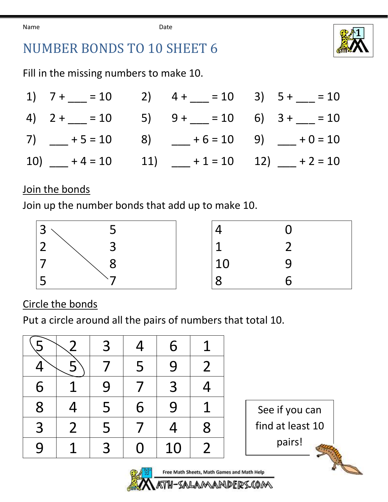Name **Date Date** 



## NUMBER BONDS TO 10 SHEET 6

Fill in the missing numbers to make 10.

|  |  | 1) $7 + \underline{\hspace{1cm}} = 10$ 2) $4 + \underline{\hspace{1cm}} = 10$ 3) $5 + \underline{\hspace{1cm}} = 10$ |
|--|--|----------------------------------------------------------------------------------------------------------------------|
|  |  | 4) $2 + \underline{\hspace{1cm}} = 10$ 5) $9 + \underline{\hspace{1cm}} = 10$ 6) $3 + \underline{\hspace{1cm}} = 10$ |
|  |  | 7) $+5 = 10$ 8) $+6 = 10$ 9) $+0 = 10$                                                                               |
|  |  | 10) $+4 = 10$ 11) $+1 = 10$ 12) $+2 = 10$                                                                            |

## Join the bonds

Join up the number bonds that add up to make 10.



Circle the bonds

Put a circle around all the pairs of numbers that total 10.

|   | <u>2</u>       | 3 | 4 | 6  | 1              |
|---|----------------|---|---|----|----------------|
|   |                |   | 5 | 9  | $\overline{2}$ |
| 6 |                | 9 |   | 3  | 4              |
| 8 | 4              | 5 | 6 | 9  | 1              |
| 3 | $\overline{2}$ | 5 |   | 4  | 8              |
| 9 |                | 3 | O | 10 | $\overline{2}$ |

See if you can find at least 10 pairs!

**CONTRACTOR** 



DEIRS.(OM